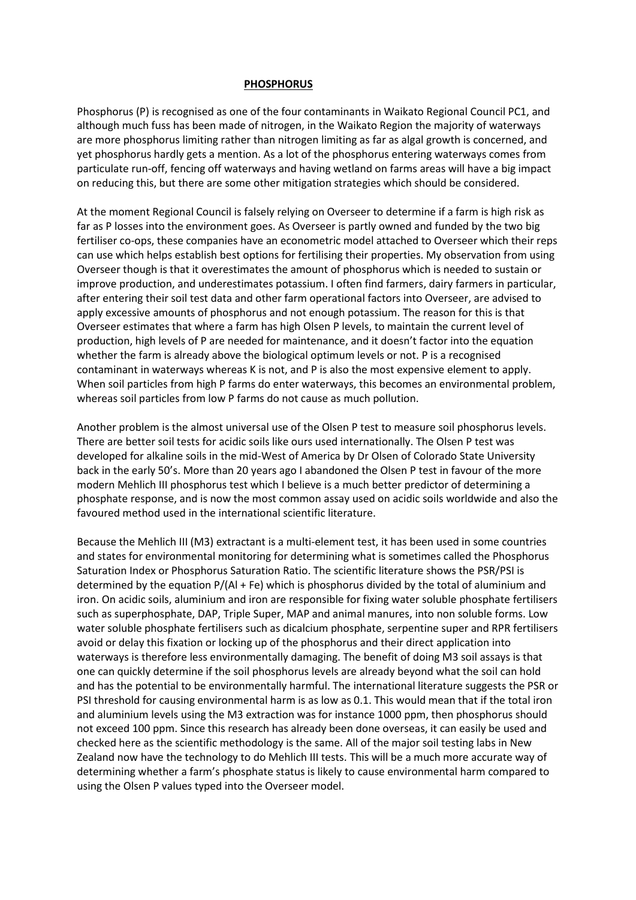## **PHOSPHORUS**

Phosphorus (P) is recognised as one of the four contaminants in Waikato Regional Council PC1, and although much fuss has been made of nitrogen, in the Waikato Region the majority of waterways are more phosphorus limiting rather than nitrogen limiting as far as algal growth is concerned, and yet phosphorus hardly gets a mention. As a lot of the phosphorus entering waterways comes from particulate run-off, fencing off waterways and having wetland on farms areas will have a big impact on reducing this, but there are some other mitigation strategies which should be considered.

At the moment Regional Council is falsely relying on Overseer to determine if a farm is high risk as far as P losses into the environment goes. As Overseer is partly owned and funded by the two big fertiliser co-ops, these companies have an econometric model attached to Overseer which their reps can use which helps establish best options for fertilising their properties. My observation from using Overseer though is that it overestimates the amount of phosphorus which is needed to sustain or improve production, and underestimates potassium. I often find farmers, dairy farmers in particular, after entering their soil test data and other farm operational factors into Overseer, are advised to apply excessive amounts of phosphorus and not enough potassium. The reason for this is that Overseer estimates that where a farm has high Olsen P levels, to maintain the current level of production, high levels of P are needed for maintenance, and it doesn't factor into the equation whether the farm is already above the biological optimum levels or not. P is a recognised contaminant in waterways whereas K is not, and P is also the most expensive element to apply. When soil particles from high P farms do enter waterways, this becomes an environmental problem, whereas soil particles from low P farms do not cause as much pollution.

Another problem is the almost universal use of the Olsen P test to measure soil phosphorus levels. There are better soil tests for acidic soils like ours used internationally. The Olsen P test was developed for alkaline soils in the mid-West of America by Dr Olsen of Colorado State University back in the early 50's. More than 20 years ago I abandoned the Olsen P test in favour of the more modern Mehlich III phosphorus test which I believe is a much better predictor of determining a phosphate response, and is now the most common assay used on acidic soils worldwide and also the favoured method used in the international scientific literature.

Because the Mehlich III (M3) extractant is a multi-element test, it has been used in some countries and states for environmental monitoring for determining what is sometimes called the Phosphorus Saturation Index or Phosphorus Saturation Ratio. The scientific literature shows the PSR/PSI is determined by the equation P/(Al + Fe) which is phosphorus divided by the total of aluminium and iron. On acidic soils, aluminium and iron are responsible for fixing water soluble phosphate fertilisers such as superphosphate, DAP, Triple Super, MAP and animal manures, into non soluble forms. Low water soluble phosphate fertilisers such as dicalcium phosphate, serpentine super and RPR fertilisers avoid or delay this fixation or locking up of the phosphorus and their direct application into waterways is therefore less environmentally damaging. The benefit of doing M3 soil assays is that one can quickly determine if the soil phosphorus levels are already beyond what the soil can hold and has the potential to be environmentally harmful. The international literature suggests the PSR or PSI threshold for causing environmental harm is as low as 0.1. This would mean that if the total iron and aluminium levels using the M3 extraction was for instance 1000 ppm, then phosphorus should not exceed 100 ppm. Since this research has already been done overseas, it can easily be used and checked here as the scientific methodology is the same. All of the major soil testing labs in New Zealand now have the technology to do Mehlich III tests. This will be a much more accurate way of determining whether a farm's phosphate status is likely to cause environmental harm compared to using the Olsen P values typed into the Overseer model.